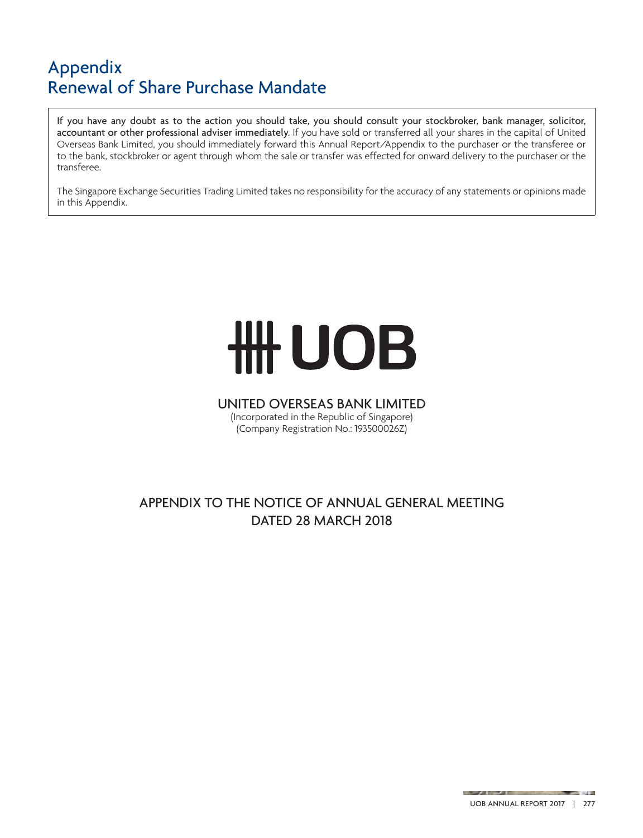If you have any doubt as to the action you should take, you should consult your stockbroker, bank manager, solicitor, accountant or other professional adviser immediately. If you have sold or transferred all your shares in the capital of United Overseas Bank Limited, you should immediately forward this Annual Report/Appendix to the purchaser or the transferee or to the bank, stockbroker or agent through whom the sale or transfer was effected for onward delivery to the purchaser or the transferee.

The Singapore Exchange Securities Trading Limited takes no responsibility for the accuracy of any statements or opinions made in this Appendix.

# **HH UOB**

## UNITED OVERSEAS BANK LIMITED

(Incorporated in the Republic of Singapore) (Company Registration No.: 193500026Z)

### APPENDIX TO THE NOTICE OF ANNUAL GENERAL MEETING DATED 28 MARCH 2018

**STATE** 

and the property of the company of the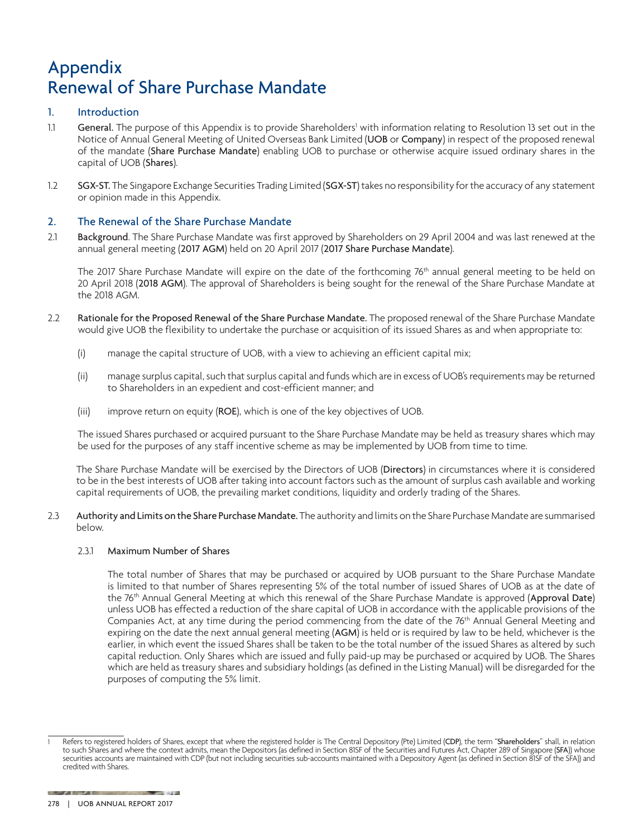#### 1. Introduction

- 1.1 General. The purpose of this Appendix is to provide Shareholders<sup>1</sup> with information relating to Resolution 13 set out in the Notice of Annual General Meeting of United Overseas Bank Limited (UOB or Company) in respect of the proposed renewal of the mandate (Share Purchase Mandate) enabling UOB to purchase or otherwise acquire issued ordinary shares in the capital of UOB (Shares).
- 1.2 SGX-ST. The Singapore Exchange Securities Trading Limited (SGX-ST) takes no responsibility for the accuracy of any statement or opinion made in this Appendix.

#### 2. The Renewal of the Share Purchase Mandate

2.1 Background. The Share Purchase Mandate was first approved by Shareholders on 29 April 2004 and was last renewed at the annual general meeting (2017 AGM) held on 20 April 2017 (2017 Share Purchase Mandate).

The 2017 Share Purchase Mandate will expire on the date of the forthcoming 76<sup>th</sup> annual general meeting to be held on 20 April 2018 (2018 AGM). The approval of Shareholders is being sought for the renewal of the Share Purchase Mandate at the 2018 AGM.

- 2.2 Rationale for the Proposed Renewal of the Share Purchase Mandate. The proposed renewal of the Share Purchase Mandate would give UOB the flexibility to undertake the purchase or acquisition of its issued Shares as and when appropriate to:
	- (i) manage the capital structure of UOB, with a view to achieving an efficient capital mix;
	- (ii) manage surplus capital, such that surplus capital and funds which are in excess of UOB's requirements may be returned to Shareholders in an expedient and cost-efficient manner; and
	- (iii) improve return on equity (ROE), which is one of the key objectives of UOB.

The issued Shares purchased or acquired pursuant to the Share Purchase Mandate may be held as treasury shares which may be used for the purposes of any staff incentive scheme as may be implemented by UOB from time to time.

The Share Purchase Mandate will be exercised by the Directors of UOB (Directors) in circumstances where it is considered to be in the best interests of UOB after taking into account factors such as the amount of surplus cash available and working capital requirements of UOB, the prevailing market conditions, liquidity and orderly trading of the Shares.

2.3 Authority and Limits on the Share Purchase Mandate. The authority and limits on the Share Purchase Mandate are summarised below.

#### 2.3.1 Maximum Number of Shares

The total number of Shares that may be purchased or acquired by UOB pursuant to the Share Purchase Mandate is limited to that number of Shares representing 5% of the total number of issued Shares of UOB as at the date of the 76<sup>th</sup> Annual General Meeting at which this renewal of the Share Purchase Mandate is approved (Approval Date) unless UOB has effected a reduction of the share capital of UOB in accordance with the applicable provisions of the Companies Act, at any time during the period commencing from the date of the 76<sup>th</sup> Annual General Meeting and expiring on the date the next annual general meeting (AGM) is held or is required by law to be held, whichever is the earlier, in which event the issued Shares shall be taken to be the total number of the issued Shares as altered by such capital reduction. Only Shares which are issued and fully paid-up may be purchased or acquired by UOB. The Shares which are held as treasury shares and subsidiary holdings (as defined in the Listing Manual) will be disregarded for the purposes of computing the 5% limit.

**CONTRACTOR** 278 | UOB Annual Report 2017

Refers to registered holders of Shares, except that where the registered holder is The Central Depository (Pte) Limited (CDP), the term "Shareholders" shall, in relation to such Shares and where the context admits, mean the Depositors (as defined in Section 81SF of the Securities and Futures Act, Chapter 289 of Singapore (SFA)) whose securities accounts are maintained with CDP (but not including securities sub-accounts maintained with a Depository Agent (as defined in Section 81SF of the SFA)) and credited with Shares.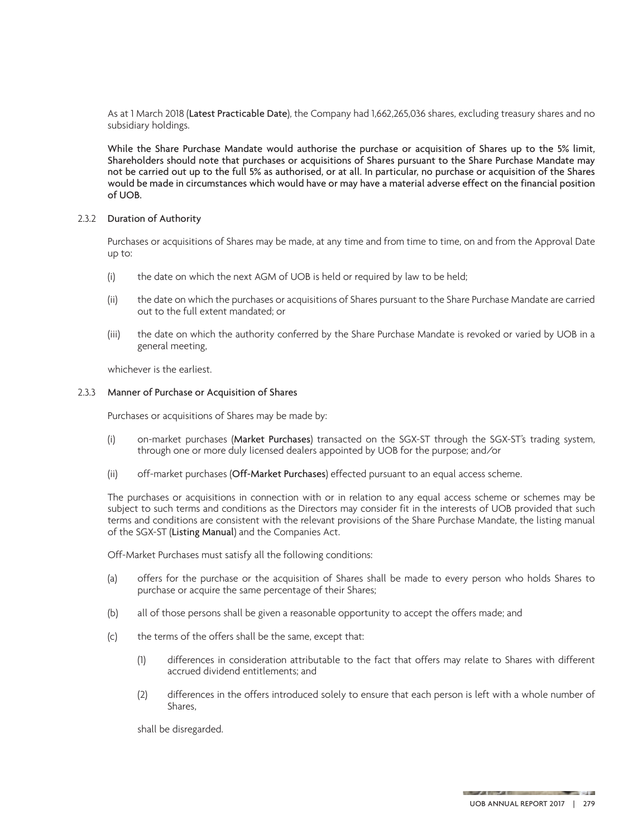As at 1 March 2018 (Latest Practicable Date), the Company had 1,662,265,036 shares, excluding treasury shares and no subsidiary holdings.

While the Share Purchase Mandate would authorise the purchase or acquisition of Shares up to the 5% limit, Shareholders should note that purchases or acquisitions of Shares pursuant to the Share Purchase Mandate may not be carried out up to the full 5% as authorised, or at all. In particular, no purchase or acquisition of the Shares would be made in circumstances which would have or may have a material adverse effect on the financial position of UOB.

#### 2.3.2 Duration of Authority

Purchases or acquisitions of Shares may be made, at any time and from time to time, on and from the Approval Date up to:

- (i) the date on which the next AGM of UOB is held or required by law to be held;
- (ii) the date on which the purchases or acquisitions of Shares pursuant to the Share Purchase Mandate are carried out to the full extent mandated; or
- (iii) the date on which the authority conferred by the Share Purchase Mandate is revoked or varied by UOB in a general meeting,

whichever is the earliest.

#### 2.3.3 Manner of Purchase or Acquisition of Shares

Purchases or acquisitions of Shares may be made by:

- (i) on-market purchases (Market Purchases) transacted on the SGX-ST through the SGX-ST's trading system, through one or more duly licensed dealers appointed by UOB for the purpose; and/or
- (ii) off-market purchases (Off-Market Purchases) effected pursuant to an equal access scheme.

The purchases or acquisitions in connection with or in relation to any equal access scheme or schemes may be subject to such terms and conditions as the Directors may consider fit in the interests of UOB provided that such terms and conditions are consistent with the relevant provisions of the Share Purchase Mandate, the listing manual of the SGX-ST (Listing Manual) and the Companies Act.

Off-Market Purchases must satisfy all the following conditions:

- (a) offers for the purchase or the acquisition of Shares shall be made to every person who holds Shares to purchase or acquire the same percentage of their Shares;
- (b) all of those persons shall be given a reasonable opportunity to accept the offers made; and
- (c) the terms of the offers shall be the same, except that:
	- (1) differences in consideration attributable to the fact that offers may relate to Shares with different accrued dividend entitlements; and
	- (2) differences in the offers introduced solely to ensure that each person is left with a whole number of Shares,

shall be disregarded.

**STATE**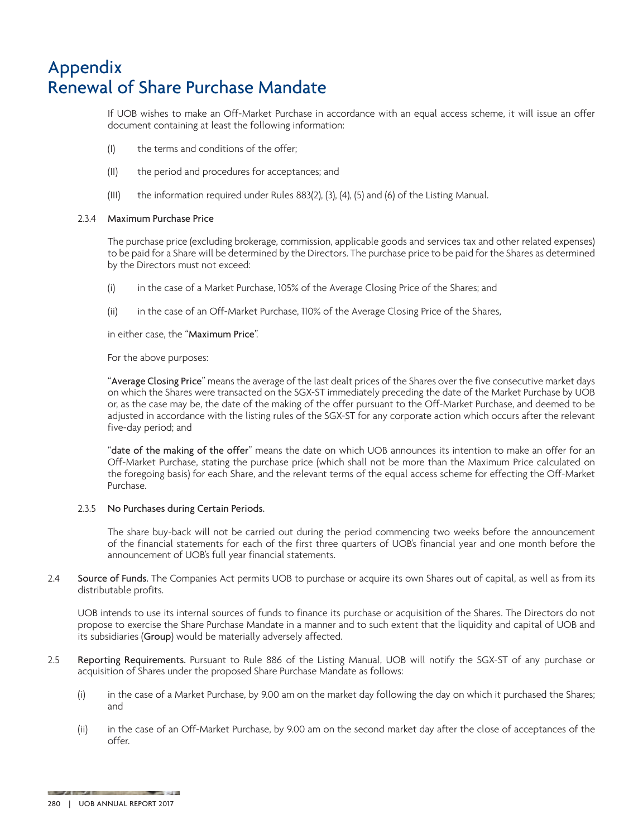If UOB wishes to make an Off-Market Purchase in accordance with an equal access scheme, it will issue an offer document containing at least the following information:

- (I) the terms and conditions of the offer;
- (II) the period and procedures for acceptances; and
- (III) the information required under Rules 883(2), (3), (4), (5) and (6) of the Listing Manual.

#### 2.3.4 Maximum Purchase Price

The purchase price (excluding brokerage, commission, applicable goods and services tax and other related expenses) to be paid for a Share will be determined by the Directors. The purchase price to be paid for the Shares as determined by the Directors must not exceed:

- (i) in the case of a Market Purchase, 105% of the Average Closing Price of the Shares; and
- (ii) in the case of an Off-Market Purchase, 110% of the Average Closing Price of the Shares,

in either case, the "Maximum Price".

For the above purposes:

"Average Closing Price" means the average of the last dealt prices of the Shares over the five consecutive market days on which the Shares were transacted on the SGX-ST immediately preceding the date of the Market Purchase by UOB or, as the case may be, the date of the making of the offer pursuant to the Off-Market Purchase, and deemed to be adjusted in accordance with the listing rules of the SGX-ST for any corporate action which occurs after the relevant five-day period; and

"date of the making of the offer" means the date on which UOB announces its intention to make an offer for an Off-Market Purchase, stating the purchase price (which shall not be more than the Maximum Price calculated on the foregoing basis) for each Share, and the relevant terms of the equal access scheme for effecting the Off-Market Purchase.

#### 2.3.5 No Purchases during Certain Periods.

The share buy-back will not be carried out during the period commencing two weeks before the announcement of the financial statements for each of the first three quarters of UOB's financial year and one month before the announcement of UOB's full year financial statements.

2.4 Source of Funds. The Companies Act permits UOB to purchase or acquire its own Shares out of capital, as well as from its distributable profits.

UOB intends to use its internal sources of funds to finance its purchase or acquisition of the Shares. The Directors do not propose to exercise the Share Purchase Mandate in a manner and to such extent that the liquidity and capital of UOB and its subsidiaries (Group) would be materially adversely affected.

- 2.5 Reporting Requirements. Pursuant to Rule 886 of the Listing Manual, UOB will notify the SGX-ST of any purchase or acquisition of Shares under the proposed Share Purchase Mandate as follows:
	- (i) in the case of a Market Purchase, by 9.00 am on the market day following the day on which it purchased the Shares; and
	- (ii) in the case of an Off-Market Purchase, by 9.00 am on the second market day after the close of acceptances of the offer.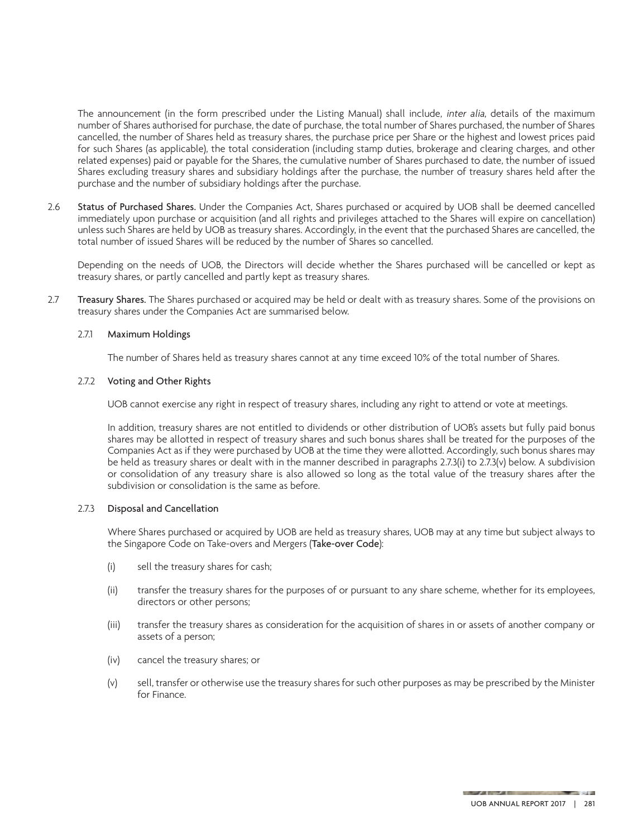The announcement (in the form prescribed under the Listing Manual) shall include, inter alia, details of the maximum number of Shares authorised for purchase, the date of purchase, the total number of Shares purchased, the number of Shares cancelled, the number of Shares held as treasury shares, the purchase price per Share or the highest and lowest prices paid for such Shares (as applicable), the total consideration (including stamp duties, brokerage and clearing charges, and other related expenses) paid or payable for the Shares, the cumulative number of Shares purchased to date, the number of issued Shares excluding treasury shares and subsidiary holdings after the purchase, the number of treasury shares held after the purchase and the number of subsidiary holdings after the purchase.

2.6 Status of Purchased Shares. Under the Companies Act, Shares purchased or acquired by UOB shall be deemed cancelled immediately upon purchase or acquisition (and all rights and privileges attached to the Shares will expire on cancellation) unless such Shares are held by UOB as treasury shares. Accordingly, in the event that the purchased Shares are cancelled, the total number of issued Shares will be reduced by the number of Shares so cancelled.

Depending on the needs of UOB, the Directors will decide whether the Shares purchased will be cancelled or kept as treasury shares, or partly cancelled and partly kept as treasury shares.

2.7 Treasury Shares. The Shares purchased or acquired may be held or dealt with as treasury shares. Some of the provisions on treasury shares under the Companies Act are summarised below.

#### 2.7.1 Maximum Holdings

The number of Shares held as treasury shares cannot at any time exceed 10% of the total number of Shares.

#### 2.7.2 Voting and Other Rights

UOB cannot exercise any right in respect of treasury shares, including any right to attend or vote at meetings.

In addition, treasury shares are not entitled to dividends or other distribution of UOB's assets but fully paid bonus shares may be allotted in respect of treasury shares and such bonus shares shall be treated for the purposes of the Companies Act as if they were purchased by UOB at the time they were allotted. Accordingly, such bonus shares may be held as treasury shares or dealt with in the manner described in paragraphs 2.7.3(i) to 2.7.3(v) below. A subdivision or consolidation of any treasury share is also allowed so long as the total value of the treasury shares after the subdivision or consolidation is the same as before.

#### 2.7.3 Disposal and Cancellation

Where Shares purchased or acquired by UOB are held as treasury shares, UOB may at any time but subject always to the Singapore Code on Take-overs and Mergers (Take-over Code):

- (i) sell the treasury shares for cash;
- (ii) transfer the treasury shares for the purposes of or pursuant to any share scheme, whether for its employees, directors or other persons;
- (iii) transfer the treasury shares as consideration for the acquisition of shares in or assets of another company or assets of a person;
- (iv) cancel the treasury shares; or
- (v) sell, transfer or otherwise use the treasury shares for such other purposes as may be prescribed by the Minister for Finance.

**County** 

**A REPORT OF THE CONSTRUCTION**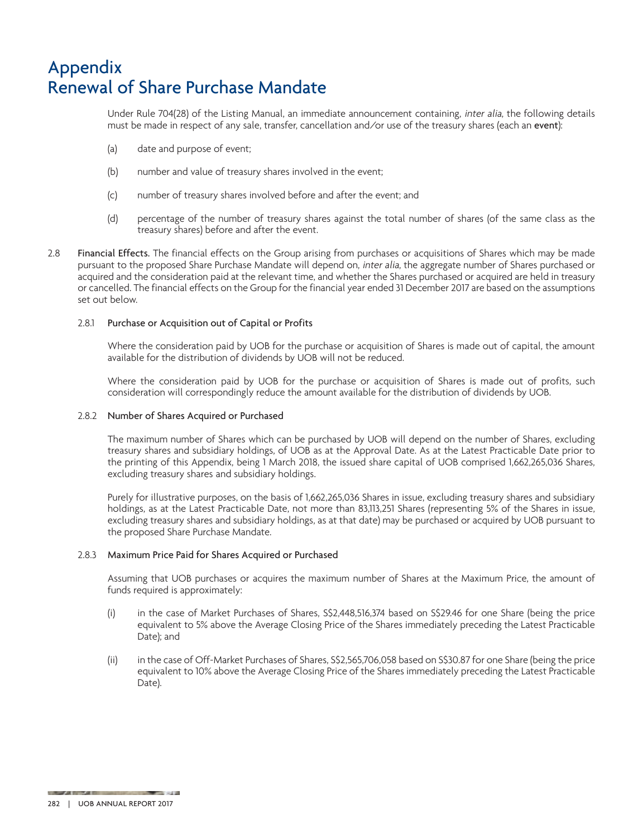Under Rule 704(28) of the Listing Manual, an immediate announcement containing, inter alia, the following details must be made in respect of any sale, transfer, cancellation and/or use of the treasury shares (each an event):

- (a) date and purpose of event;
- (b) number and value of treasury shares involved in the event;
- (c) number of treasury shares involved before and after the event; and
- (d) percentage of the number of treasury shares against the total number of shares (of the same class as the treasury shares) before and after the event.
- 2.8 Financial Effects. The financial effects on the Group arising from purchases or acquisitions of Shares which may be made pursuant to the proposed Share Purchase Mandate will depend on, inter alia, the aggregate number of Shares purchased or acquired and the consideration paid at the relevant time, and whether the Shares purchased or acquired are held in treasury or cancelled. The financial effects on the Group for the financial year ended 31 December 2017 are based on the assumptions set out below.

#### 2.8.1 Purchase or Acquisition out of Capital or Profits

Where the consideration paid by UOB for the purchase or acquisition of Shares is made out of capital, the amount available for the distribution of dividends by UOB will not be reduced.

Where the consideration paid by UOB for the purchase or acquisition of Shares is made out of profits, such consideration will correspondingly reduce the amount available for the distribution of dividends by UOB.

#### 2.8.2 Number of Shares Acquired or Purchased

The maximum number of Shares which can be purchased by UOB will depend on the number of Shares, excluding treasury shares and subsidiary holdings, of UOB as at the Approval Date. As at the Latest Practicable Date prior to the printing of this Appendix, being 1 March 2018, the issued share capital of UOB comprised 1,662,265,036 Shares, excluding treasury shares and subsidiary holdings.

Purely for illustrative purposes, on the basis of 1,662,265,036 Shares in issue, excluding treasury shares and subsidiary holdings, as at the Latest Practicable Date, not more than 83,113,251 Shares (representing 5% of the Shares in issue, excluding treasury shares and subsidiary holdings, as at that date) may be purchased or acquired by UOB pursuant to the proposed Share Purchase Mandate.

#### 2.8.3 Maximum Price Paid for Shares Acquired or Purchased

Assuming that UOB purchases or acquires the maximum number of Shares at the Maximum Price, the amount of funds required is approximately:

- (i) in the case of Market Purchases of Shares, S\$2,448,516,374 based on S\$29.46 for one Share (being the price equivalent to 5% above the Average Closing Price of the Shares immediately preceding the Latest Practicable Date); and
- (ii) in the case of Off-Market Purchases of Shares, S\$2,565,706,058 based on S\$30.87 for one Share (being the price equivalent to 10% above the Average Closing Price of the Shares immediately preceding the Latest Practicable Date).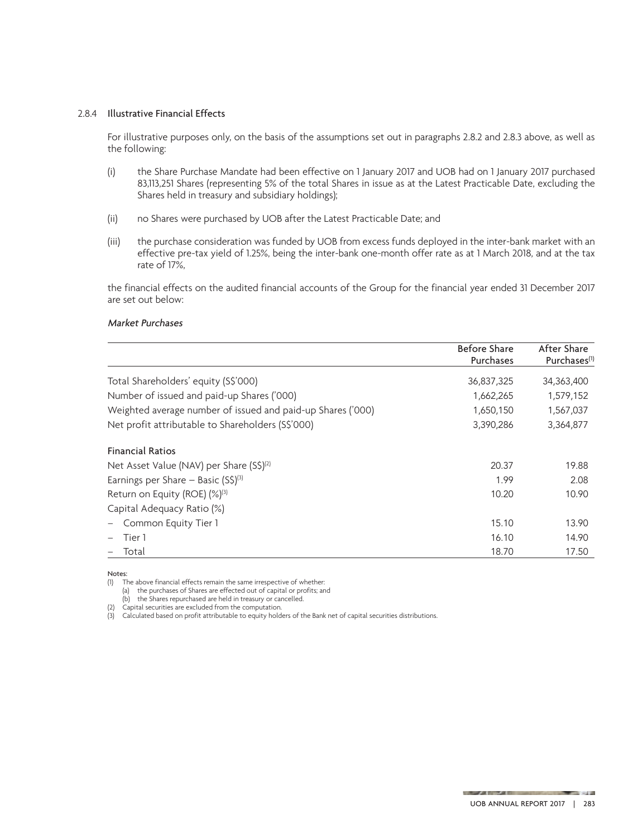#### 2.8.4 Illustrative Financial Effects

For illustrative purposes only, on the basis of the assumptions set out in paragraphs 2.8.2 and 2.8.3 above, as well as the following:

- (i) the Share Purchase Mandate had been effective on 1 January 2017 and UOB had on 1 January 2017 purchased 83,113,251 Shares (representing 5% of the total Shares in issue as at the Latest Practicable Date, excluding the Shares held in treasury and subsidiary holdings);
- (ii) no Shares were purchased by UOB after the Latest Practicable Date; and
- (iii) the purchase consideration was funded by UOB from excess funds deployed in the inter-bank market with an effective pre-tax yield of 1.25%, being the inter-bank one-month offer rate as at 1 March 2018, and at the tax rate of 17%,

the financial effects on the audited financial accounts of the Group for the financial year ended 31 December 2017 are set out below:

#### Market Purchases

|                                                             | <b>Before Share</b><br>Purchases | After Share<br>Purchases <sup>(1)</sup> |
|-------------------------------------------------------------|----------------------------------|-----------------------------------------|
| Total Shareholders' equity (S\$'000)                        | 36,837,325                       | 34,363,400                              |
| Number of issued and paid-up Shares ('000)                  | 1,662,265                        | 1,579,152                               |
| Weighted average number of issued and paid-up Shares ('000) | 1,650,150                        | 1,567,037                               |
| Net profit attributable to Shareholders (S\$'000)           | 3,390,286                        | 3,364,877                               |
| <b>Financial Ratios</b>                                     |                                  |                                         |
| Net Asset Value (NAV) per Share (S\$) <sup>(2)</sup>        | 20.37                            | 19.88                                   |
| Earnings per Share – Basic $(S\hat{S})^{(3)}$               | 1.99                             | 2.08                                    |
| Return on Equity (ROE) (%) <sup>(3)</sup>                   | 10.20                            | 10.90                                   |
| Capital Adequacy Ratio (%)                                  |                                  |                                         |
| Common Equity Tier 1                                        | 15.10                            | 13.90                                   |
| Tier 1                                                      | 16.10                            | 14.90                                   |
| Total                                                       | 18.70                            | 17.50                                   |

Notes:

(1) The above financial effects remain the same irrespective of whether:

(a) the purchases of Shares are effected out of capital or profits; and

(b) the Shares repurchased are held in treasury or cancelled.

(2) Capital securities are excluded from the computation.

(3) Calculated based on profit attributable to equity holders of the Bank net of capital securities distributions.

**STATE** 

and the property of the community and community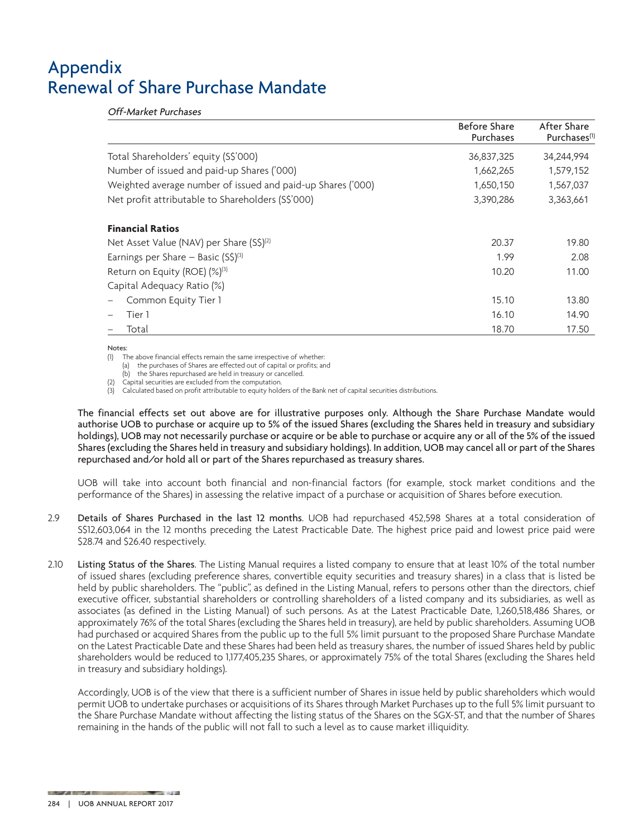Off-Market Purchases

|                                                             | <b>Before Share</b><br>Purchases | After Share<br>Purchases <sup>(1)</sup> |
|-------------------------------------------------------------|----------------------------------|-----------------------------------------|
| Total Shareholders' equity (S\$'000)                        | 36,837,325                       | 34,244,994                              |
| Number of issued and paid-up Shares ('000)                  | 1,662,265                        | 1,579,152                               |
| Weighted average number of issued and paid-up Shares ('000) | 1,650,150                        | 1,567,037                               |
| Net profit attributable to Shareholders (S\$'000)           | 3,390,286                        | 3,363,661                               |
| <b>Financial Ratios</b>                                     |                                  |                                         |
| Net Asset Value (NAV) per Share (S\$) <sup>(2)</sup>        | 20.37                            | 19.80                                   |
| Earnings per Share – Basic $(S\hat{S})^{(3)}$               | 1.99                             | 2.08                                    |
| Return on Equity (ROE) (%) <sup>(3)</sup>                   | 10.20                            | 11.00                                   |
| Capital Adequacy Ratio (%)                                  |                                  |                                         |
| Common Equity Tier 1                                        | 15.10                            | 13.80                                   |
| Tier 1                                                      | 16.10                            | 14.90                                   |
| Total                                                       | 18.70                            | 17.50                                   |

#### Notes:

(1) The above financial effects remain the same irrespective of whether:

(a) the purchases of Shares are effected out of capital or profits; and

(b) the Shares repurchased are held in treasury or cancelled.

(2) Capital securities are excluded from the computation.

(3) Calculated based on profit attributable to equity holders of the Bank net of capital securities distributions.

The financial effects set out above are for illustrative purposes only. Although the Share Purchase Mandate would authorise UOB to purchase or acquire up to 5% of the issued Shares (excluding the Shares held in treasury and subsidiary holdings), UOB may not necessarily purchase or acquire or be able to purchase or acquire any or all of the 5% of the issued Shares (excluding the Shares held in treasury and subsidiary holdings). In addition, UOB may cancel all or part of the Shares repurchased and/or hold all or part of the Shares repurchased as treasury shares.

UOB will take into account both financial and non-financial factors (for example, stock market conditions and the performance of the Shares) in assessing the relative impact of a purchase or acquisition of Shares before execution.

- 2.9 Details of Shares Purchased in the last 12 months. UOB had repurchased 452,598 Shares at a total consideration of S\$12,603,064 in the 12 months preceding the Latest Practicable Date. The highest price paid and lowest price paid were \$28.74 and \$26.40 respectively.
- 2.10 Listing Status of the Shares. The Listing Manual requires a listed company to ensure that at least 10% of the total number of issued shares (excluding preference shares, convertible equity securities and treasury shares) in a class that is listed be held by public shareholders. The "public", as defined in the Listing Manual, refers to persons other than the directors, chief executive officer, substantial shareholders or controlling shareholders of a listed company and its subsidiaries, as well as associates (as defined in the Listing Manual) of such persons. As at the Latest Practicable Date, 1,260,518,486 Shares, or approximately 76% of the total Shares (excluding the Shares held in treasury), are held by public shareholders. Assuming UOB had purchased or acquired Shares from the public up to the full 5% limit pursuant to the proposed Share Purchase Mandate on the Latest Practicable Date and these Shares had been held as treasury shares, the number of issued Shares held by public shareholders would be reduced to 1,177,405,235 Shares, or approximately 75% of the total Shares (excluding the Shares held in treasury and subsidiary holdings).

Accordingly, UOB is of the view that there is a sufficient number of Shares in issue held by public shareholders which would permit UOB to undertake purchases or acquisitions of its Shares through Market Purchases up to the full 5% limit pursuant to the Share Purchase Mandate without affecting the listing status of the Shares on the SGX-ST, and that the number of Shares remaining in the hands of the public will not fall to such a level as to cause market illiquidity.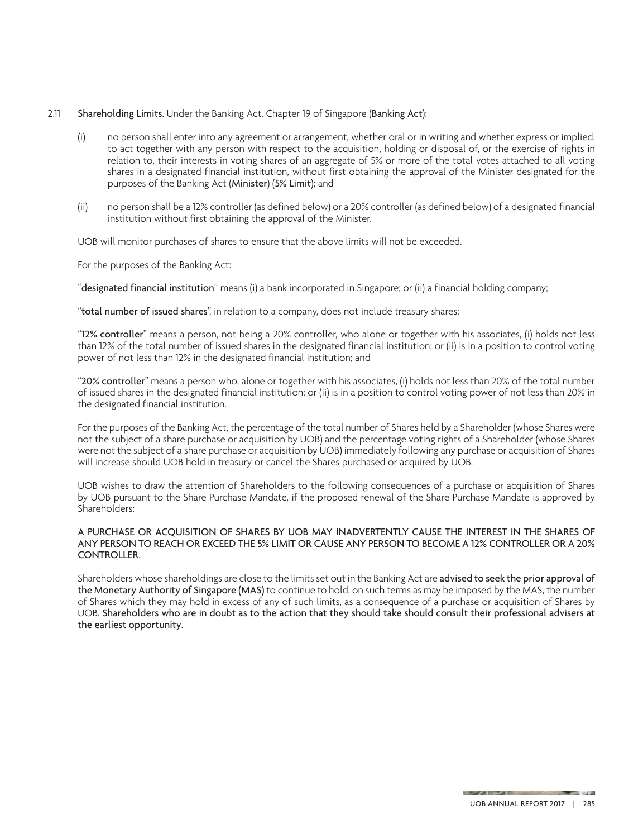#### 2.11 Shareholding Limits. Under the Banking Act, Chapter 19 of Singapore (Banking Act):

- (i) no person shall enter into any agreement or arrangement, whether oral or in writing and whether express or implied, to act together with any person with respect to the acquisition, holding or disposal of, or the exercise of rights in relation to, their interests in voting shares of an aggregate of 5% or more of the total votes attached to all voting shares in a designated financial institution, without first obtaining the approval of the Minister designated for the purposes of the Banking Act (Minister) (5% Limit); and
- (ii) no person shall be a 12% controller (as defined below) or a 20% controller (as defined below) of a designated financial institution without first obtaining the approval of the Minister.

UOB will monitor purchases of shares to ensure that the above limits will not be exceeded.

For the purposes of the Banking Act:

"designated financial institution" means (i) a bank incorporated in Singapore; or (ii) a financial holding company;

"total number of issued shares", in relation to a company, does not include treasury shares;

"12% controller" means a person, not being a 20% controller, who alone or together with his associates, (i) holds not less than 12% of the total number of issued shares in the designated financial institution; or (ii) is in a position to control voting power of not less than 12% in the designated financial institution; and

"20% controller" means a person who, alone or together with his associates, (i) holds not less than 20% of the total number of issued shares in the designated financial institution; or (ii) is in a position to control voting power of not less than 20% in the designated financial institution.

For the purposes of the Banking Act, the percentage of the total number of Shares held by a Shareholder (whose Shares were not the subject of a share purchase or acquisition by UOB) and the percentage voting rights of a Shareholder (whose Shares were not the subject of a share purchase or acquisition by UOB) immediately following any purchase or acquisition of Shares will increase should UOB hold in treasury or cancel the Shares purchased or acquired by UOB.

UOB wishes to draw the attention of Shareholders to the following consequences of a purchase or acquisition of Shares by UOB pursuant to the Share Purchase Mandate, if the proposed renewal of the Share Purchase Mandate is approved by Shareholders:

#### A PURCHASE OR ACQUISITION OF SHARES BY UOB MAY INADVERTENTLY CAUSE THE INTEREST IN THE SHARES OF ANY PERSON TO REACH OR EXCEED THE 5% LIMIT OR CAUSE ANY PERSON TO BECOME A 12% CONTROLLER OR A 20% CONTROLLER.

Shareholders whose shareholdings are close to the limits set out in the Banking Act are advised to seek the prior approval of the Monetary Authority of Singapore (MAS) to continue to hold, on such terms as may be imposed by the MAS, the number of Shares which they may hold in excess of any of such limits, as a consequence of a purchase or acquisition of Shares by UOB. Shareholders who are in doubt as to the action that they should take should consult their professional advisers at the earliest opportunity.

**County**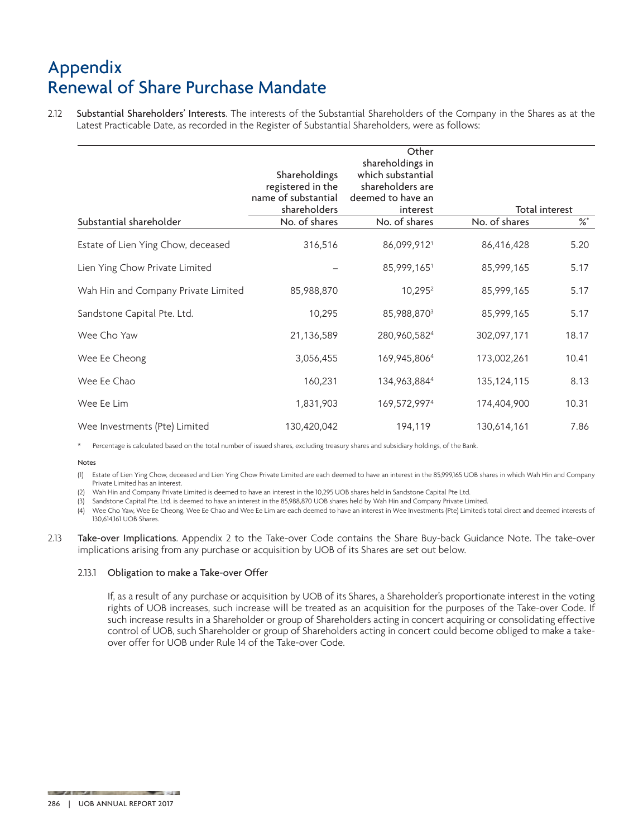2.12 Substantial Shareholders' Interests. The interests of the Substantial Shareholders of the Company in the Shares as at the Latest Practicable Date, as recorded in the Register of Substantial Shareholders, were as follows:

|                                     | Shareholdings<br>registered in the | Other<br>shareholdings in<br>which substantial<br>shareholders are |               |                |  |
|-------------------------------------|------------------------------------|--------------------------------------------------------------------|---------------|----------------|--|
|                                     | name of substantial                | deemed to have an                                                  |               |                |  |
|                                     | shareholders                       | interest                                                           |               | Total interest |  |
| Substantial shareholder             | No. of shares                      | No. of shares                                                      | No. of shares | $\%^*$         |  |
| Estate of Lien Ying Chow, deceased  | 316,516                            | 86,099,9121                                                        | 86,416,428    | 5.20           |  |
| Lien Ying Chow Private Limited      |                                    | 85,999,1651                                                        | 85,999,165    | 5.17           |  |
| Wah Hin and Company Private Limited | 85,988,870                         | 10,295 <sup>2</sup>                                                | 85,999,165    | 5.17           |  |
| Sandstone Capital Pte. Ltd.         | 10,295                             | 85,988,8703                                                        | 85,999,165    | 5.17           |  |
| Wee Cho Yaw                         | 21,136,589                         | 280,960,5824                                                       | 302,097,171   | 18.17          |  |
| Wee Ee Cheong                       | 3,056,455                          | 169,945,8064                                                       | 173,002,261   | 10.41          |  |
| Wee Ee Chao                         | 160,231                            | 134,963,8844                                                       | 135, 124, 115 | 8.13           |  |
| Wee Ee Lim                          | 1,831,903                          | 169,572,9974                                                       | 174,404,900   | 10.31          |  |
| Wee Investments (Pte) Limited       | 130,420,042                        | 194,119                                                            | 130,614,161   | 7.86           |  |

\* Percentage is calculated based on the total number of issued shares, excluding treasury shares and subsidiary holdings, of the Bank.

Notes

(1) Estate of Lien Ying Chow, deceased and Lien Ying Chow Private Limited are each deemed to have an interest in the 85,999,165 UOB shares in which Wah Hin and Company Private Limited has an interest.

(2) Wah Hin and Company Private Limited is deemed to have an interest in the 10,295 UOB shares held in Sandstone Capital Pte Ltd.

(3) Sandstone Capital Pte. Ltd. is deemed to have an interest in the 85,988,870 UOB shares held by Wah Hin and Company Private Limited.

(4) Wee Cho Yaw, Wee Ee Cheong, Wee Ee Chao and Wee Ee Lim are each deemed to have an interest in Wee Investments (Pte) Limited's total direct and deemed interests of 130,614,161 UOB Shares.

2.13 Take-over Implications. Appendix 2 to the Take-over Code contains the Share Buy-back Guidance Note. The take-over implications arising from any purchase or acquisition by UOB of its Shares are set out below.

#### 2.13.1 Obligation to make a Take-over Offer

**AND STATE** 

If, as a result of any purchase or acquisition by UOB of its Shares, a Shareholder's proportionate interest in the voting rights of UOB increases, such increase will be treated as an acquisition for the purposes of the Take-over Code. If such increase results in a Shareholder or group of Shareholders acting in concert acquiring or consolidating effective control of UOB, such Shareholder or group of Shareholders acting in concert could become obliged to make a takeover offer for UOB under Rule 14 of the Take-over Code.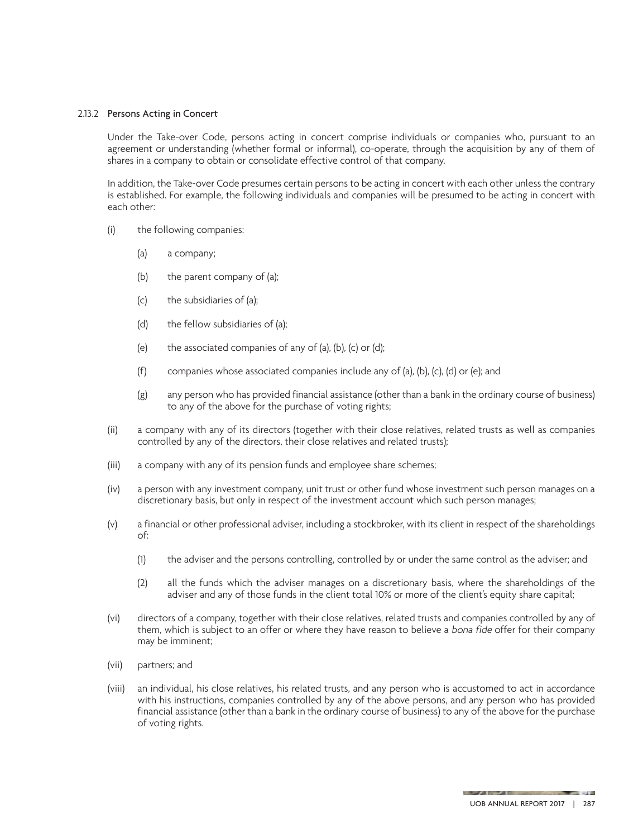#### 2.13.2 Persons Acting in Concert

Under the Take-over Code, persons acting in concert comprise individuals or companies who, pursuant to an agreement or understanding (whether formal or informal), co-operate, through the acquisition by any of them of shares in a company to obtain or consolidate effective control of that company.

In addition, the Take-over Code presumes certain persons to be acting in concert with each other unless the contrary is established. For example, the following individuals and companies will be presumed to be acting in concert with each other:

- (i) the following companies:
	- (a) a company;
	- (b) the parent company of (a);
	- (c) the subsidiaries of (a);
	- (d) the fellow subsidiaries of (a);
	- (e) the associated companies of any of (a), (b), (c) or (d);
	- (f) companies whose associated companies include any of (a), (b), (c), (d) or (e); and
	- (g) any person who has provided financial assistance (other than a bank in the ordinary course of business) to any of the above for the purchase of voting rights;
- (ii) a company with any of its directors (together with their close relatives, related trusts as well as companies controlled by any of the directors, their close relatives and related trusts);
- (iii) a company with any of its pension funds and employee share schemes;
- (iv) a person with any investment company, unit trust or other fund whose investment such person manages on a discretionary basis, but only in respect of the investment account which such person manages;
- (v) a financial or other professional adviser, including a stockbroker, with its client in respect of the shareholdings of:
	- (1) the adviser and the persons controlling, controlled by or under the same control as the adviser; and
	- (2) all the funds which the adviser manages on a discretionary basis, where the shareholdings of the adviser and any of those funds in the client total 10% or more of the client's equity share capital;
- (vi) directors of a company, together with their close relatives, related trusts and companies controlled by any of them, which is subject to an offer or where they have reason to believe a bona fide offer for their company may be imminent;
- (vii) partners; and
- (viii) an individual, his close relatives, his related trusts, and any person who is accustomed to act in accordance with his instructions, companies controlled by any of the above persons, and any person who has provided financial assistance (other than a bank in the ordinary course of business) to any of the above for the purchase of voting rights.

**STATE** 

**A REPORT OF THE CONSTRUCTION**